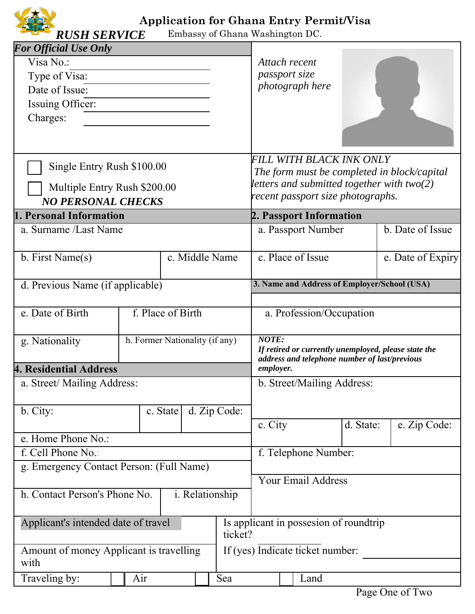

## **Application for Ghana Entry Permit/Visa**

Embassy of Ghana Washington DC.

| <b>For Official Use Only</b>                                                                                                                                                                                                    |  |                |  |  |                                                                                                                       |                                                                                                                                                                                                                                   |                   |                  |  |  |
|---------------------------------------------------------------------------------------------------------------------------------------------------------------------------------------------------------------------------------|--|----------------|--|--|-----------------------------------------------------------------------------------------------------------------------|-----------------------------------------------------------------------------------------------------------------------------------------------------------------------------------------------------------------------------------|-------------------|------------------|--|--|
| Visa No.:                                                                                                                                                                                                                       |  |                |  |  | Attach recent                                                                                                         |                                                                                                                                                                                                                                   |                   |                  |  |  |
| Type of Visa:                                                                                                                                                                                                                   |  |                |  |  | <i>passport size</i>                                                                                                  |                                                                                                                                                                                                                                   |                   |                  |  |  |
| Date of Issue:                                                                                                                                                                                                                  |  |                |  |  |                                                                                                                       | photograph here                                                                                                                                                                                                                   |                   |                  |  |  |
| Issuing Officer:                                                                                                                                                                                                                |  |                |  |  |                                                                                                                       |                                                                                                                                                                                                                                   |                   |                  |  |  |
| Charges:                                                                                                                                                                                                                        |  |                |  |  |                                                                                                                       |                                                                                                                                                                                                                                   |                   |                  |  |  |
|                                                                                                                                                                                                                                 |  |                |  |  |                                                                                                                       |                                                                                                                                                                                                                                   |                   |                  |  |  |
| Single Entry Rush \$100.00                                                                                                                                                                                                      |  |                |  |  | FILL WITH BLACK INK ONLY<br>The form must be completed in block/capital                                               |                                                                                                                                                                                                                                   |                   |                  |  |  |
|                                                                                                                                                                                                                                 |  |                |  |  |                                                                                                                       |                                                                                                                                                                                                                                   |                   |                  |  |  |
|                                                                                                                                                                                                                                 |  |                |  |  | recent passport size photographs.                                                                                     |                                                                                                                                                                                                                                   |                   |                  |  |  |
|                                                                                                                                                                                                                                 |  |                |  |  |                                                                                                                       |                                                                                                                                                                                                                                   |                   |                  |  |  |
|                                                                                                                                                                                                                                 |  |                |  |  |                                                                                                                       |                                                                                                                                                                                                                                   |                   | b. Date of Issue |  |  |
|                                                                                                                                                                                                                                 |  |                |  |  |                                                                                                                       |                                                                                                                                                                                                                                   |                   |                  |  |  |
| b. First Name(s)                                                                                                                                                                                                                |  | c. Middle Name |  |  | c. Place of Issue                                                                                                     |                                                                                                                                                                                                                                   | e. Date of Expiry |                  |  |  |
|                                                                                                                                                                                                                                 |  |                |  |  | 3. Name and Address of Employer/School (USA)                                                                          |                                                                                                                                                                                                                                   |                   |                  |  |  |
|                                                                                                                                                                                                                                 |  |                |  |  |                                                                                                                       |                                                                                                                                                                                                                                   |                   |                  |  |  |
| f. Place of Birth<br>e. Date of Birth                                                                                                                                                                                           |  |                |  |  | a. Profession/Occupation                                                                                              |                                                                                                                                                                                                                                   |                   |                  |  |  |
| h. Former Nationality (if any)<br>g. Nationality                                                                                                                                                                                |  |                |  |  | <b>NOTE:</b><br>If retired or currently unemployed, please state the<br>address and telephone number of last/previous |                                                                                                                                                                                                                                   |                   |                  |  |  |
| <b>4. Residential Address</b>                                                                                                                                                                                                   |  |                |  |  | employer.                                                                                                             |                                                                                                                                                                                                                                   |                   |                  |  |  |
| a. Street/ Mailing Address:                                                                                                                                                                                                     |  |                |  |  | b. Street/Mailing Address:                                                                                            |                                                                                                                                                                                                                                   |                   |                  |  |  |
| b. City:                                                                                                                                                                                                                        |  |                |  |  |                                                                                                                       |                                                                                                                                                                                                                                   |                   |                  |  |  |
|                                                                                                                                                                                                                                 |  |                |  |  |                                                                                                                       |                                                                                                                                                                                                                                   |                   | e. Zip Code:     |  |  |
| e. Home Phone No.:                                                                                                                                                                                                              |  |                |  |  |                                                                                                                       |                                                                                                                                                                                                                                   |                   |                  |  |  |
| f. Cell Phone No.                                                                                                                                                                                                               |  |                |  |  |                                                                                                                       |                                                                                                                                                                                                                                   |                   |                  |  |  |
| g. Emergency Contact Person: (Full Name)                                                                                                                                                                                        |  |                |  |  |                                                                                                                       |                                                                                                                                                                                                                                   |                   |                  |  |  |
|                                                                                                                                                                                                                                 |  |                |  |  | <b>Your Email Address</b>                                                                                             |                                                                                                                                                                                                                                   |                   |                  |  |  |
| h. Contact Person's Phone No.<br>i. Relationship                                                                                                                                                                                |  |                |  |  |                                                                                                                       |                                                                                                                                                                                                                                   |                   |                  |  |  |
| Applicant's intended date of travel                                                                                                                                                                                             |  |                |  |  |                                                                                                                       |                                                                                                                                                                                                                                   |                   |                  |  |  |
| Amount of money Applicant is travelling                                                                                                                                                                                         |  |                |  |  |                                                                                                                       |                                                                                                                                                                                                                                   |                   |                  |  |  |
|                                                                                                                                                                                                                                 |  |                |  |  |                                                                                                                       |                                                                                                                                                                                                                                   |                   |                  |  |  |
| Multiple Entry Rush \$200.00<br><b>NO PERSONAL CHECKS</b><br>1. Personal Information<br>a. Surname /Last Name<br>d. Previous Name (if applicable)<br>d. Zip Code:<br>c. State<br>ticket?<br>with<br>Traveling by:<br>Air<br>Sea |  |                |  |  |                                                                                                                       | letters and submitted together with two(2)<br>2. Passport Information<br>a. Passport Number<br>c. City<br>d. State:<br>f. Telephone Number:<br>Is applicant in possesion of roundtrip<br>If (yes) Indicate ticket number:<br>Land |                   |                  |  |  |